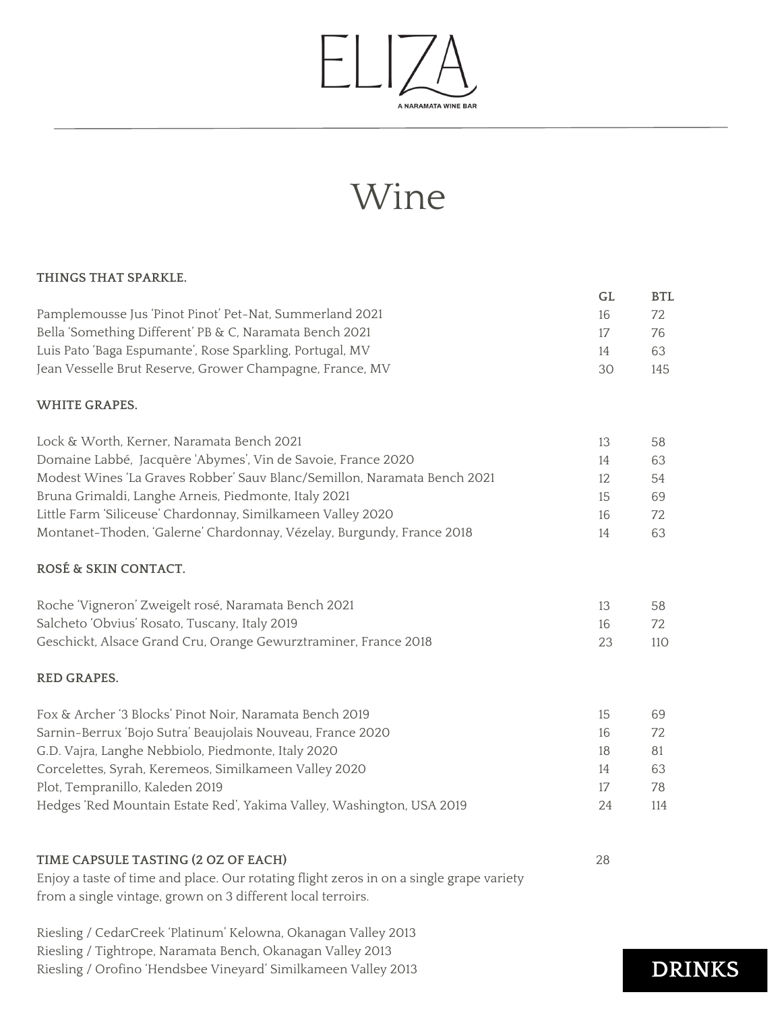

# Wine

#### **THINGS THAT SPARKLE.**

| Pamplemousse Jus 'Pinot Pinot' Pet-Nat, Summerland 2021                                                                                                | GL<br>16 | <b>BTL</b><br>72 |
|--------------------------------------------------------------------------------------------------------------------------------------------------------|----------|------------------|
| Bella 'Something Different' PB & C, Naramata Bench 2021                                                                                                | 17       | 76               |
| Luis Pato 'Baga Espumante', Rose Sparkling, Portugal, MV                                                                                               | 14       | 63               |
| Jean Vesselle Brut Reserve, Grower Champagne, France, MV                                                                                               | 30       | 145              |
| <b>WHITE GRAPES.</b>                                                                                                                                   |          |                  |
| Lock & Worth, Kerner, Naramata Bench 2021                                                                                                              | 13       | 58               |
| Domaine Labbé, Jacquère 'Abymes', Vin de Savoie, France 2020                                                                                           | 14       | 63               |
| Modest Wines 'La Graves Robber' Sauv Blanc/Semillon, Naramata Bench 2021                                                                               | 12       | 54               |
| Bruna Grimaldi, Langhe Arneis, Piedmonte, Italy 2021                                                                                                   | 15       | 69               |
| Little Farm 'Siliceuse' Chardonnay, Similkameen Valley 2020                                                                                            | 16       | 72               |
| Montanet-Thoden, 'Galerne' Chardonnay, Vézelay, Burgundy, France 2018                                                                                  | 14       | 63               |
| ROSÉ & SKIN CONTACT.                                                                                                                                   |          |                  |
| Roche 'Vigneron' Zweigelt rosé, Naramata Bench 2021                                                                                                    | 13       | 58               |
| Salcheto 'Obvius' Rosato, Tuscany, Italy 2019                                                                                                          | 16       | 72               |
| Geschickt, Alsace Grand Cru, Orange Gewurztraminer, France 2018                                                                                        | 23       | 110              |
| <b>RED GRAPES.</b>                                                                                                                                     |          |                  |
| Fox & Archer '3 Blocks' Pinot Noir, Naramata Bench 2019                                                                                                | 15       | 69               |
| Sarnin-Berrux 'Bojo Sutra' Beaujolais Nouveau, France 2020                                                                                             | 16       | 72               |
| G.D. Vajra, Langhe Nebbiolo, Piedmonte, Italy 2020                                                                                                     | 18       | 81               |
| Corcelettes, Syrah, Keremeos, Similkameen Valley 2020                                                                                                  | 14       | 63               |
| Plot, Tempranillo, Kaleden 2019                                                                                                                        | 17       | 78               |
| Hedges 'Red Mountain Estate Red', Yakima Valley, Washington, USA 2019                                                                                  | 24       | 114              |
|                                                                                                                                                        | 28       |                  |
| TIME CAPSULE TASTING (2 OZ OF EACH)                                                                                                                    |          |                  |
| Enjoy a taste of time and place. Our rotating flight zeros in on a single grape variety<br>from a single vintage, grown on 3 different local terroirs. |          |                  |
| Riesling / CedarCreek 'Platinum' Kelowna, Okanagan Valley 2013                                                                                         |          |                  |

Riesling / Tightrope, Naramata Bench, Okanagan Valley 2013

Riesling / Orofino 'Hendsbee Vineyard' Similkameen Valley <sup>2013</sup> **DRINKS**